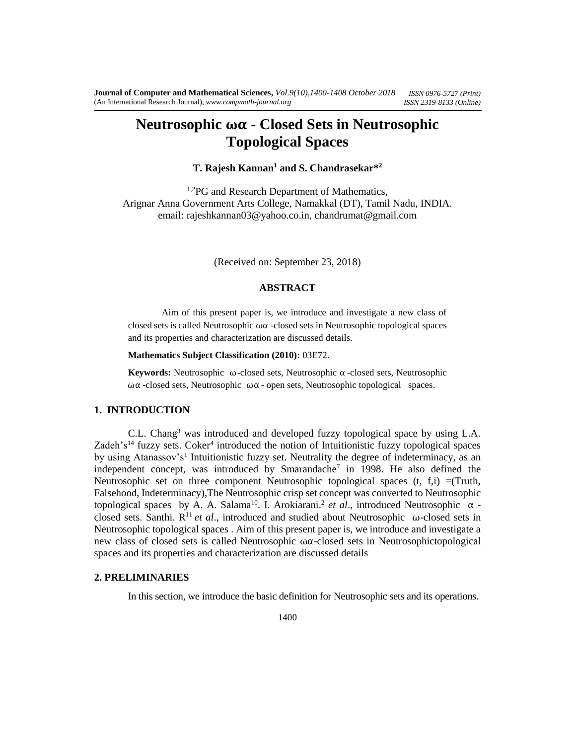# **Neutrosophic ωα - Closed Sets in Neutrosophic Topological Spaces**

# **T. Rajesh Kannan<sup>1</sup> and S. Chandrasekar\*<sup>2</sup>**

<sup>1,2</sup>PG and Research Department of Mathematics, Arignar Anna Government Arts College, Namakkal (DT), Tamil Nadu, INDIA. email: rajeshkannan03@yahoo.co.in, chandrumat@gmail.com

(Received on: September 23, 2018)

#### **ABSTRACT**

Aim of this present paper is, we introduce and investigate a new class of closed sets is called Neutrosophic  $\omega\alpha$  -closed sets in Neutrosophic topological spaces and its properties and characterization are discussed details.

#### **Mathematics Subject Classification (2010):** 03E72.

**Keywords:** Neutrosophic ω-closed sets, Neutrosophic α -closed sets, Neutrosophic ωα -closed sets, Neutrosophic ωα - open sets, Neutrosophic topological spaces.

### **1. INTRODUCTION**

C.L. Chang<sup>3</sup> was introduced and developed fuzzy topological space by using L.A. Zadeh's<sup>14</sup> fuzzy sets. Coker<sup>4</sup> introduced the notion of Intuitionistic fuzzy topological spaces by using Atanassov's<sup>1</sup> Intuitionistic fuzzy set. Neutrality the degree of indeterminacy, as an independent concept, was introduced by Smarandache<sup>7</sup> in 1998. He also defined the Neutrosophic set on three component Neutrosophic topological spaces  $(t, f, i) =$ (Truth, Falsehood, Indeterminacy),The Neutrosophic crisp set concept was converted to Neutrosophic topological spaces by A. A. Salama<sup>10</sup>. I. Arokiarani.<sup>2</sup> et al., introduced Neutrosophic α closed sets. Santhi. R <sup>11</sup> *et al*., introduced and studied about Neutrosophic ω-closed sets in Neutrosophic topological spaces . Aim of this present paper is, we introduce and investigate a new class of closed sets is called Neutrosophic ωα-closed sets in Neutrosophictopological spaces and its properties and characterization are discussed details

### **2. PRELIMINARIES**

In this section, we introduce the basic definition for Neutrosophic sets and its operations.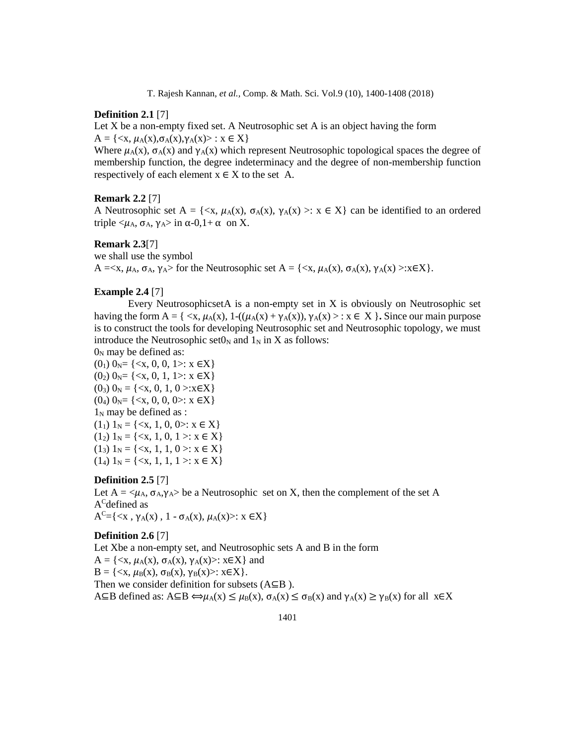### **Definition 2.1** [7]

Let X be a non-empty fixed set. A Neutrosophic set A is an object having the form  $A = \{ \langle x, \mu_A(x), \sigma_A(x), \gamma_A(x) \rangle : x \in X \}$ 

Where  $\mu_A(x)$ ,  $\sigma_A(x)$  and  $\gamma_A(x)$  which represent Neutrosophic topological spaces the degree of membership function, the degree indeterminacy and the degree of non-membership function respectively of each element  $x \in X$  to the set A.

#### **Remark 2.2** [7]

A Neutrosophic set  $A = \{ \langle x, \mu_A(x), \sigma_A(x), \gamma_A(x) \rangle : x \in X \}$  can be identified to an ordered triple  $\langle \mu_A, \sigma_A, \gamma_A \rangle$  in α-0,1+ α on X.

# **Remark 2.3**[7]

we shall use the symbol

 $A = \langle x, \mu_A, \sigma_A, \gamma_A \rangle$  for the Neutrosophic set  $A = \{\langle x, \mu_A(x), \sigma_A(x), \gamma_A(x) \rangle : x \in X\}.$ 

### **Example 2.4** [7]

Every NeutrosophicsetA is a non-empty set in X is obviously on Neutrosophic set having the form  $A = \{ \langle x, \mu_A(x), 1-(\mu_A(x) + \gamma_A(x)), \gamma_A(x) \rangle : x \in X \}$ . Since our main purpose is to construct the tools for developing Neutrosophic set and Neutrosophic topology, we must introduce the Neutrosophic set $0_N$  and  $1_N$  in X as follows:

 $0<sub>N</sub>$  may be defined as:

 $(0_1)$   $0_N = \{ \langle x, 0, 0, 1 \rangle : x \in X \}$  $(0_2)$   $0_N = \{ \langle x, 0, 1, 1 \rangle : x \in X \}$  $(0_3)$   $0_N = \{ \langle x, 0, 1, 0 \rangle : x \in X \}$  $(0_4)$   $0_N = \{ \langle x, 0, 0, 0 \rangle : x \in X \}$  $1_N$  may be defined as :  $(1<sub>1</sub>)$  1<sub>N</sub> = {<x, 1, 0, 0 >: x  $\in$  X}  $(1_2) 1_N = \{ \langle x, 1, 0, 1 \rangle : x \in X \}$  $(1_3) 1_N = \{ \langle x, 1, 1, 0 \rangle : x \in X \}$ (14)  $1_N = \{ \langle x, 1, 1, 1 \rangle : x \in X \}$ 

### **Definition 2.5** [7]

Let  $A = \langle \mu_A, \sigma_A, \gamma_A \rangle$  be a Neutrosophic set on X, then the complement of the set A A<sup>C</sup>defined as  $A^C = \{ \langle x, \gamma_A(x), 1 - \sigma_A(x), \mu_A(x) \rangle : x \in X \}$ 

### **Definition 2.6** [7]

Let Xbe a non-empty set, and Neutrosophic sets A and B in the form  $A = \{ \langle x, \mu_A(x), \sigma_A(x), \gamma_A(x) \rangle : x \in X \}$  and  $B = \{ \langle x, \mu_B(x), \sigma_B(x), \gamma_B(x) \rangle : x \in X \}.$ Then we consider definition for subsets (A⊆B ).  $A \subseteq B$  defined as:  $A \subseteq B \Leftrightarrow \mu_A(x) \leq \mu_B(x)$ ,  $\sigma_A(x) \leq \sigma_B(x)$  and  $\gamma_A(x) \geq \gamma_B(x)$  for all  $x \in X$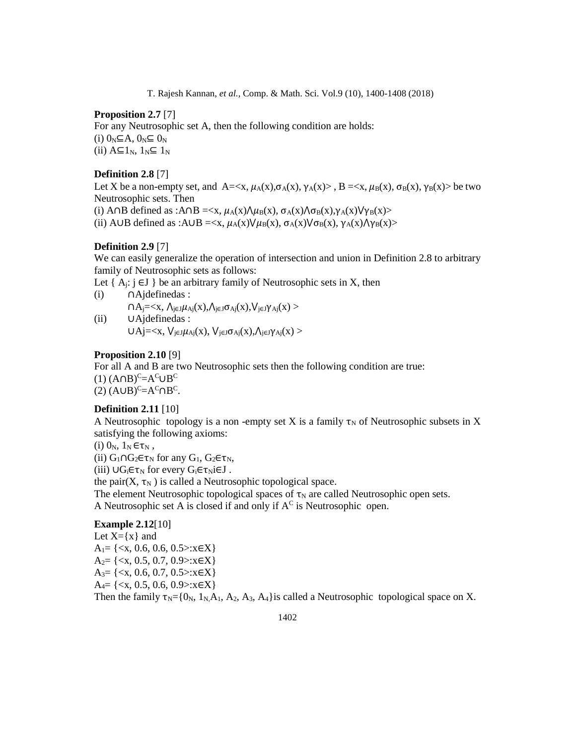### **Proposition 2.7** [7]

For any Neutrosophic set A, then the following condition are holds: (i)  $0_N \subseteq A$ ,  $0_N \subseteq 0_N$ (ii)  $A \subseteq 1_N$ ,  $1_N \subseteq 1_N$ 

# **Definition 2.8** [7]

Let X be a non-empty set, and  $A=\langle x, \mu_A(x), \sigma_A(x), \gamma_A(x)\rangle$ ,  $B=\langle x, \mu_B(x), \sigma_B(x), \gamma_B(x)\rangle$  be two Neutrosophic sets. Then (i) A∩B defined as :A∩B =  $\langle x, \mu_A(x) \Lambda \mu_B(x), \sigma_A(x) \Lambda \sigma_B(x), \gamma_A(x) \nu_B(x) \rangle$ (ii) A∪B defined as :A∪B =  $\langle x, \mu_A(x) \rangle / \mu_B(x), \sigma_A(x) / \sigma_B(x), \gamma_A(x) / \gamma_B(x)$ >

# **Definition 2.9** [7]

We can easily generalize the operation of intersection and union in Definition 2.8 to arbitrary family of Neutrosophic sets as follows:

Let  $\{A_i: i \in J\}$  be an arbitrary family of Neutrosophic sets in X, then

(i) ∩Ajdefinedas :  $\bigcap A_j = \langle X, \bigcap_{j \in J} \mu_{Ai}(x), \bigcap_{j \in J} \sigma_{Ai}(x), \bigvee_{j \in J} \gamma_{Ai}(x) \rangle$ (ii) ∪Ajdefinedas :  $U Aj = \langle x, V_{j \in J} \mu_{Ai}(x), V_{j \in J} \sigma_{Ai}(x), \Lambda_{j \in J} \gamma_{Ai}(x) \rangle$ 

#### **Proposition 2.10** [9]

For all A and B are two Neutrosophic sets then the following condition are true:  $(1)$   $(A \cap B)^{C} = A^{C} \cup B^{C}$  $(2)$   $(A \cup B)^{C} = A^{C} \cap B^{C}$ .

## **Definition 2.11** [10]

A Neutrosophic topology is a non-empty set X is a family  $\tau_N$  of Neutrosophic subsets in X satisfying the following axioms:

(i)  $0_N$ ,  $1_N \in \tau_N$ ,

(ii)  $G_1 \cap G_2 \in \tau_N$  for any  $G_1$ ,  $G_2 \in \tau_N$ ,

(iii)  $\bigcup G_i \in \tau_N$  for every  $G_i \in \tau_N$ i $\in J$ .

the pair $(X, \tau_N)$  is called a Neutrosophic topological space.

The element Neutrosophic topological spaces of  $\tau_N$  are called Neutrosophic open sets. A Neutrosophic set A is closed if and only if  $A^C$  is Neutrosophic open.

# **Example 2.12**[10]

Let  $X=\{x\}$  and  $A_1 = \{ \langle x, 0.6, 0.6, 0.5 \rangle : x \in X \}$  $A_2 = \{ \langle x, 0.5, 0.7, 0.9 \rangle : x \in X \}$  $A_3 = \{ \langle x, 0.6, 0.7, 0.5 \rangle : x \in X \}$  $A_4 = \{ \langle x, 0.5, 0.6, 0.9 \rangle : x \in X \}$ Then the family  $\tau_N = \{0_N, 1_N, A_1, A_2, A_3, A_4\}$  is called a Neutrosophic topological space on X.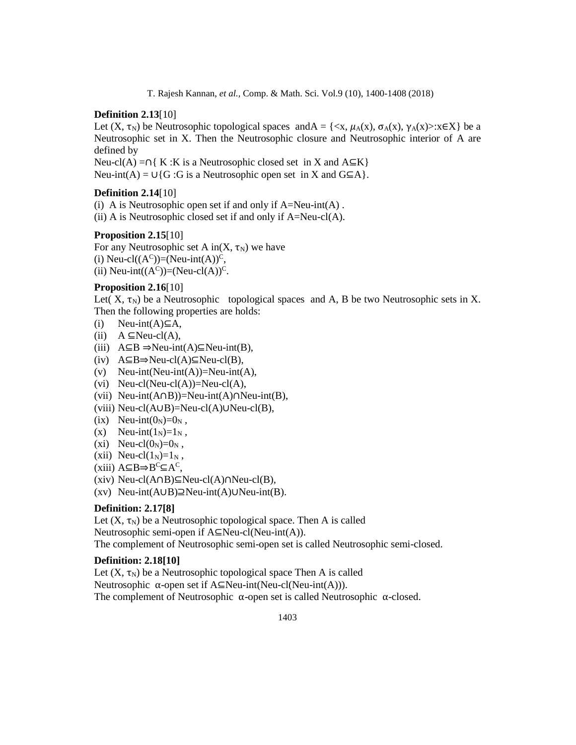# **Definition 2.13**[10]

Let  $(X, \tau_N)$  be Neutrosophic topological spaces andA = {<x,  $\mu_A(x)$ ,  $\sigma_A(x)$ ,  $\gamma_A(x)$ >: $x \in X$ } be a Neutrosophic set in X. Then the Neutrosophic closure and Neutrosophic interior of A are defined by

Neu-cl(A) =∩{ K :K is a Neutrosophic closed set in X and  $A \subseteq K$ } Neu-int(A) =  $\cup$ {G :G is a Neutrosophic open set in X and G⊆A}.

# **Definition 2.14**[10]

(i) A is Neutrosophic open set if and only if  $A=Neu$ -int $(A)$ . (ii) A is Neutrosophic closed set if and only if A=Neu-cl(A).

## **Proposition 2.15**[10]

For any Neutrosophic set A in $(X, \tau_N)$  we have

(i) Neu-cl( $(A^C)$ )=(Neu-int(A))<sup>C</sup>, (ii) Neu-int( $(A^C)$ )=(Neu-cl(A))<sup>C</sup>.

# **Proposition 2.16**[10]

Let( X,  $\tau_N$ ) be a Neutrosophic topological spaces and A, B be two Neutrosophic sets in X. Then the following properties are holds:

- $(i)$  Neu-int $(A) \subseteq A$ ,
- (ii)  $A \subseteq Neu-cl(A)$ ,
- (iii)  $A ⊆ B \Rightarrow Neu-int(A) ⊆ Neu-int(B)$ ,
- (iv) A⊆B⇒Neu-cl(A)⊆Neu-cl(B),
- (v) Neu-int(Neu-int(A))=Neu-int(A),
- (vi) Neu-cl(Neu-cl(A))=Neu-cl(A),
- (vii) Neu-int(A∩B))=Neu-int(A)∩Neu-int(B),
- (viii) Neu-cl(A∪B)=Neu-cl(A)∪Neu-cl(B),
- (ix) Neu-int $(0_N)=0_N$ ,
- (x) Neu-int $(1_N)=1_N$ ,
- (xi) Neu-cl $(0_N)=0_N$ ,
- (xii) Neu-cl $(1_N)=1_N$ ,
- $(xiii)$  A⊆B $\Rightarrow B^C \subseteq A^C$ ,
- (xiv) Neu-cl(A∩B)⊆Neu-cl(A)∩Neu-cl(B),
- (xv) Neu-int(A∪B)⊇Neu-int(A)∪Neu-int(B).

# **Definition: 2.17[8]**

Let  $(X, \tau_N)$  be a Neutrosophic topological space. Then A is called Neutrosophic semi-open if A⊆Neu-cl(Neu-int(A)). The complement of Neutrosophic semi-open set is called Neutrosophic semi-closed.

### **Definition: 2.18[10]**

Let  $(X, \tau_N)$  be a Neutrosophic topological space Then A is called Neutrosophic α-open set if A⊆Neu-int(Neu-cl(Neu-int(A))). The complement of Neutrosophic  $\alpha$ -open set is called Neutrosophic  $\alpha$ -closed.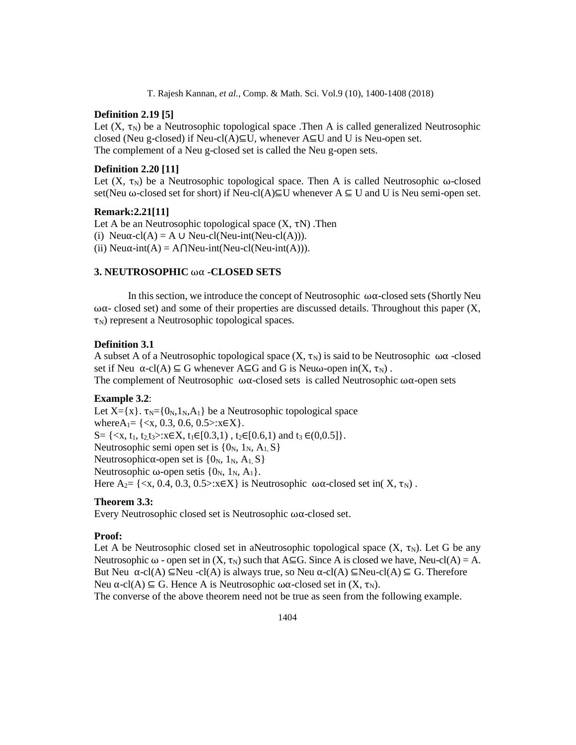# **Definition 2.19 [5]**

Let  $(X, \tau_N)$  be a Neutrosophic topological space .Then A is called generalized Neutrosophic closed (Neu g-closed) if Neu-cl(A)⊆U, whenever  $A\subseteq U$  and U is Neu-open set. The complement of a Neu g-closed set is called the Neu g-open sets.

### **Definition 2.20 [11]**

Let  $(X, \tau_N)$  be a Neutrosophic topological space. Then A is called Neutrosophic  $\omega$ -closed set(Neu ω-closed set for short) if Neu-cl(A)⊆U whenever  $A \subseteq U$  and U is Neu semi-open set.

# **Remark:2.21[11]**

Let A be an Neutrosophic topological space  $(X, \tau N)$ . Then (i) Neu $\alpha$ -cl(A) = A ∪ Neu-cl(Neu-int(Neu-cl(A))). (ii) Neu $\alpha$ -int(A) = A $\bigcap$ Neu-int(Neu-cl(Neu-int(A))).

# **3. NEUTROSOPHIC** ωα **-CLOSED SETS**

In this section, we introduce the concept of Neutrosophic  $\omega\alpha$ -closed sets (Shortly Neu  $\omega\alpha$ - closed set) and some of their properties are discussed details. Throughout this paper (X,  $\tau_N$ ) represent a Neutrosophic topological spaces.

# **Definition 3.1**

A subset A of a Neutrosophic topological space  $(X, \tau_N)$  is said to be Neutrosophic  $\omega\alpha$ -closed set if Neu  $\alpha$ -cl(A)  $\subseteq$  G whenever A $\subseteq$ G and G is Neu $\omega$ -open in(X,  $\tau_N$ ). The complement of Neutrosophic  $\omega\alpha$ -closed sets is called Neutrosophic  $\omega\alpha$ -open sets

### **Example 3.2**:

Let  $X = \{x\}$ .  $\tau_N = \{0_N, 1_N, A_1\}$  be a Neutrosophic topological space where $A_1 = \{ \langle x, 0.3, 0.6, 0.5 \rangle : x \in X \}.$ S=  $\{ \langle x, t_1, t_2, t_3 \rangle : x \in X, t_1 \in [0.3, 1), t_2 \in [0.6, 1) \text{ and } t_3 \in (0, 0.5] \}.$ Neutrosophic semi open set is  $\{0_N, 1_N, A_1, S\}$ Neutrosophicα-open set is  $\{0_N, 1_N, A_1, S\}$ Neutrosophic ω-open setis  $\{0_N, 1_N, A_1\}$ . Here  $A_2 = \{ \langle x, 0.4, 0.3, 0.5 \rangle : x \in X \}$  is Neutrosophic  $\omega \alpha$ -closed set in(X,  $\tau_N$ ).

# **Theorem 3.3:**

Every Neutrosophic closed set is Neutrosophic ωα-closed set.

#### **Proof:**

Let A be Neutrosophic closed set in aNeutrosophic topological space  $(X, \tau_N)$ . Let G be any Neutrosophic  $\omega$  - open set in  $(X, \tau_N)$  such that A⊆G. Since A is closed we have, Neu-cl(A) = A. But Neu  $\alpha$ -cl(A)  $\subseteq$ Neu -cl(A) is always true, so Neu  $\alpha$ -cl(A)  $\subseteq$ Neu-cl(A)  $\subseteq$  G. Therefore Neu α-cl(A) ⊆ G. Hence A is Neutrosophic ωα-closed set in  $(X, \tau_N)$ .

The converse of the above theorem need not be true as seen from the following example.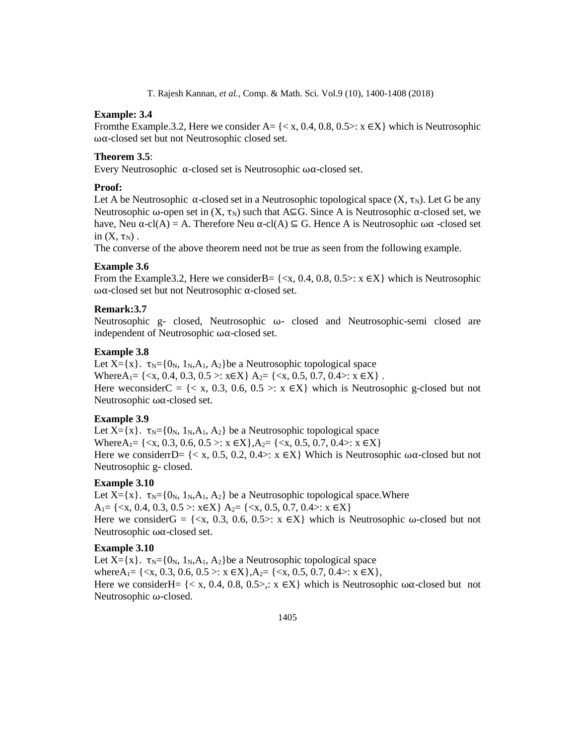# **Example: 3.4**

From the Example.3.2, Here we consider A=  $\{< x, 0.4, 0.8, 0.5> : x \in X\}$  which is Neutrosophic ωα-closed set but not Neutrosophic closed set.

# **Theorem 3.5**:

Every Neutrosophic α-closed set is Neutrosophic ωα-closed set.

### **Proof:**

Let A be Neutrosophic  $\alpha$ -closed set in a Neutrosophic topological space  $(X, \tau_N)$ . Let G be any Neutrosophic ω-open set in  $(X, \tau_N)$  such that A⊆G. Since A is Neutrosophic α-closed set, we have, Neu α-cl(A) = A. Therefore Neu α-cl(A)  $\subseteq$  G. Hence A is Neutrosophic ωα -closed set in  $(X, \tau_N)$ .

The converse of the above theorem need not be true as seen from the following example.

# **Example 3.6**

From the Example 3.2, Here we consider B = { $\langle x, 0.4, 0.8, 0.5 \rangle$ :  $x \in X$ } which is Neutrosophic ωα-closed set but not Neutrosophic α-closed set.

### **Remark:3.7**

Neutrosophic g- closed, Neutrosophic ω- closed and Neutrosophic-semi closed are independent of Neutrosophic ωα-closed set.

#### **Example 3.8**

Let  $X = \{x\}$ .  $\tau_N = \{0_N, 1_N, A_1, A_2\}$ be a Neutrosophic topological space WhereA<sub>1</sub>=  $\{ \langle x, 0.4, 0.3, 0.5 \rangle : x \in X \}$  A<sub>2</sub>=  $\{ \langle x, 0.5, 0.7, 0.4 \rangle : x \in X \}$ . Here weconsiderC =  $\{< x, 0.3, 0.6, 0.5 >: x \in X\}$  which is Neutrosophic g-closed but not Neutrosophic ωα-closed set.

### **Example 3.9**

Let  $X = \{x\}$ .  $\tau_N = \{0_N, 1_N, A_1, A_2\}$  be a Neutrosophic topological space Where A<sub>1</sub> = {<x, 0.3, 0.6, 0.5 >: x ∈X}, A<sub>2</sub> = {<x, 0.5, 0.7, 0.4 >: x ∈X} Here we considerrD=  $\{< x, 0.5, 0.2, 0.4 >: x \in X\}$  Which is Neutrosophic  $\omega\alpha$ -closed but not Neutrosophic g- closed.

### **Example 3.10**

Let  $X = \{x\}$ .  $\tau_N = \{0_N, 1_N, A_1, A_2\}$  be a Neutrosophic topological space. Where A<sub>1</sub>=  $\{ \langle x, 0.4, 0.3, 0.5 \rangle : x \in X \}$  A<sub>2</sub>=  $\{ \langle x, 0.5, 0.7, 0.4 \rangle : x \in X \}$ Here we considerG = { $\langle x, 0.3, 0.6, 0.5 \rangle$ :  $x \in X$ } which is Neutrosophic ω-closed but not Neutrosophic ωα-closed set.

### **Example 3.10**

Let  $X = \{x\}$ .  $\tau_N = \{0_N, 1_N, A_1, A_2\}$ be a Neutrosophic topological space where $A_1 = \{ \langle x, 0.3, 0.6, 0.5 \rangle : x \in X \}, A_2 = \{ \langle x, 0.5, 0.7, 0.4 \rangle : x \in X \},$ Here we considerH=  $\{< x, 0.4, 0.8, 0.5>, : x \in X\}$  which is Neutrosophic  $\omega\alpha$ -closed but not Neutrosophic ω-closed.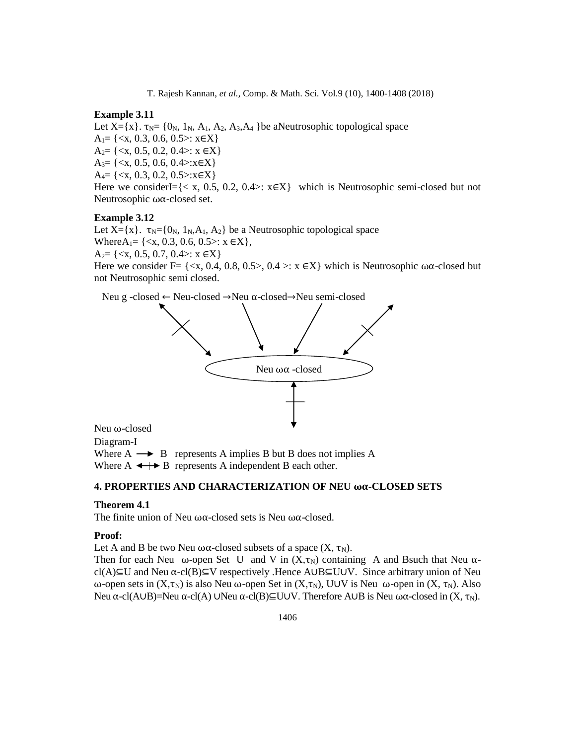# **Example 3.11**

Let  $X = \{x\}$ .  $\tau_N = \{0_N, 1_N, A_1, A_2, A_3, A_4\}$ be aNeutrosophic topological space  $A_1 = \{ \langle x, 0.3, 0.6, 0.5 \rangle : x \in X \}$  $A_2 = \{ \langle x, 0.5, 0.2, 0.4 \rangle : x \in X \}$  $A_3 = \{ \langle x, 0.5, 0.6, 0.4 \rangle : x \in X \}$  $A_4 = \{ \langle x, 0.3, 0.2, 0.5 \rangle : x \in X \}$ Here we considerI= $\{< x, 0.5, 0.2, 0.4> : x \in X\}$  which is Neutrosophic semi-closed but not Neutrosophic ωα-closed set.

# **Example 3.12**

Let  $X = \{x\}$ .  $\tau_N = \{0_N, 1_N, A_1, A_2\}$  be a Neutrosophic topological space Where $A_1 = \{ \langle x, 0.3, 0.6, 0.5 \rangle : x \in X \},\$  $A_2 = \{ \langle x, 0.5, 0.7, 0.4 \rangle : x \in X \}$ Here we consider F=  $\{ \langle x, 0.4, 0.8, 0.5 \rangle, 0.4 \rangle \times \mathbb{R} \times \}$  which is Neutrosophic  $\omega \alpha$ -closed but not Neutrosophic semi closed.

Neu g -closed ← Neu-closed →Neu α-closed→Neu semi-closed



Neu ω-closed

Diagram-I Where  $A \rightarrow B$  represents A implies B but B does not implies A

Where  $A \leftrightarrow B$  represents A independent B each other.

# **4. PROPERTIES AND CHARACTERIZATION OF NEU ωα-CLOSED SETS**

### **Theorem 4.1**

The finite union of Neu ωα-closed sets is Neu ωα-closed.

#### **Proof:**

Let A and B be two Neu ωα-closed subsets of a space  $(X, \tau_N)$ .

Then for each Neu  $\omega$ -open Set U and V in  $(X,\tau_N)$  containing A and Bsuch that Neu  $\alpha$ cl(A)⊆U and Neu α-cl(B)⊆V respectively .Hence A∪B⊆U∪V. Since arbitrary union of Neu ω-open sets in  $(X, \tau_N)$  is also Neu ω-open Set in  $(X, \tau_N)$ , UUV is Neu ω-open in  $(X, \tau_N)$ . Also Neu α-cl(A∪B)=Neu α-cl(A) ∪Neu α-cl(B)⊆U∪V. Therefore A∪B is Neu ωα-closed in (X, τ<sub>N</sub>).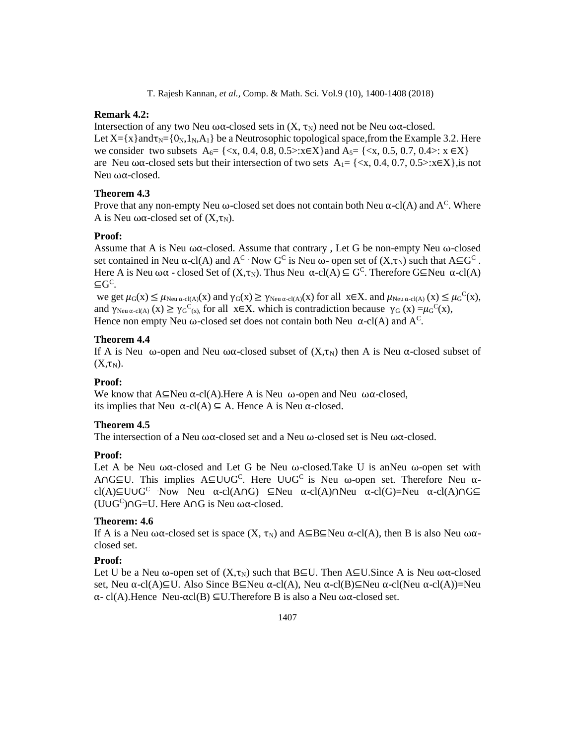# **Remark 4.2:**

Intersection of any two Neu ωα-closed sets in  $(X, \tau_N)$  need not be Neu ωα-closed. Let  $X = \{x\}$  and  $\tau_N = \{0_N, 1_N, A_1\}$  be a Neutrosophic topological space, from the Example 3.2. Here we consider two subsets  $A_6 = \{ \langle x, 0.4, 0.8, 0.5 \rangle : x \in X \}$  and  $A_5 = \{ \langle x, 0.5, 0.7, 0.4 \rangle : x \in X \}$ are Neu  $\omega\alpha$ -closed sets but their intersection of two sets A<sub>1</sub>= {<x, 0.4, 0.7, 0.5>:x∈X}, is not Neu ωα-closed.

# **Theorem 4.3**

Prove that any non-empty Neu  $\omega$ -closed set does not contain both Neu  $\alpha$ -cl(A) and A<sup>C</sup>. Where A is Neu  $\omega\alpha$ -closed set of  $(X,\tau_N)$ .

# **Proof:**

Assume that A is Neu ωα-closed. Assume that contrary , Let G be non-empty Neu ω-closed set contained in Neu  $\alpha$ -cl(A) and A<sup>C</sup> · Now G<sup>C</sup> is Neu  $\omega$ - open set of  $(X,\tau_N)$  such that A $\subseteq$ G<sup>C</sup>. Here A is Neu  $\omega\alpha$  - closed Set of  $(X,\tau_N)$ . Thus Neu  $\alpha$ -cl(A)  $\subseteq$  G<sup>C</sup>. Therefore G $\subseteq$ Neu  $\alpha$ -cl(A) ⊆G<sup>C</sup> .

we get  $\mu_G(x) \le \mu_{\text{Neu }\alpha\text{-cl}(A)}(x)$  and  $\gamma_G(x) \ge \gamma_{\text{Neu }\alpha\text{-cl}(A)}(x)$  for all  $x \in X$ . and  $\mu_{\text{Neu }\alpha\text{-cl}(A)}(x) \le \mu_G^C(x)$ , and  $\gamma_{\text{Neu }\alpha\text{-}cl(A)}(x) \geq \gamma_G^C(x)$ , for all  $x \in X$ . which is contradiction because  $\gamma_G(x) = \mu_G^C(x)$ , Hence non empty Neu ω-closed set does not contain both Neu  $\alpha$ -cl(A) and A<sup>C</sup>.

# **Theorem 4.4**

If A is Neu ω-open and Neu ωα-closed subset of  $(X, \tau_N)$  then A is Neu α-closed subset of  $(X,\tau_N)$ .

# **Proof:**

We know that  $A \subseteq \text{Neu}$   $\alpha$ -cl(A). Here A is Neu  $\omega$ -open and Neu  $\omega \alpha$ -closed, its implies that Neu  $\alpha$ -cl(A)  $\subseteq$  A. Hence A is Neu  $\alpha$ -closed.

# **Theorem 4.5**

The intersection of a Neu ω $\alpha$ -closed set and a Neu ω-closed set is Neu ω $\alpha$ -closed.

# **Proof:**

Let A be Neu  $\omega\alpha$ -closed and Let G be Neu  $\omega$ -closed.Take U is anNeu  $\omega$ -open set with A∩G⊆U. This implies A⊆U∪G<sup>C</sup>. Here U∪G<sup>C</sup> is Neu ω-open set. Therefore Neu αcl(A)⊆U∪G<sup>C</sup> Now Neu  $\alpha$ -cl(A∩G) ⊆Neu  $\alpha$ -cl(A)∩Neu  $\alpha$ -cl(G)=Neu  $\alpha$ -cl(A)∩G⊆ (U∪G<sup>C</sup> )∩G=U. Here A∩G is Neu ωα-closed.

# **Theorem: 4.6**

If A is a Neu ωα-closed set is space  $(X, \tau_N)$  and  $A \subseteq B \subseteq New$  α-cl(A), then B is also Neu ωαclosed set.

# **Proof:**

Let U be a Neu ω-open set of  $(X, \tau_N)$  such that B⊆U. Then A⊆U. Since A is Neu  $\omega\alpha$ -closed set, Neu α-cl(A)⊆U. Also Since B⊆Neu α-cl(A), Neu α-cl(B)⊆Neu α-cl(Neu α-cl(A))=Neu α- cl(A).Hence Neu-αcl(B) ⊆U.Therefore B is also a Neu ωα-closed set.